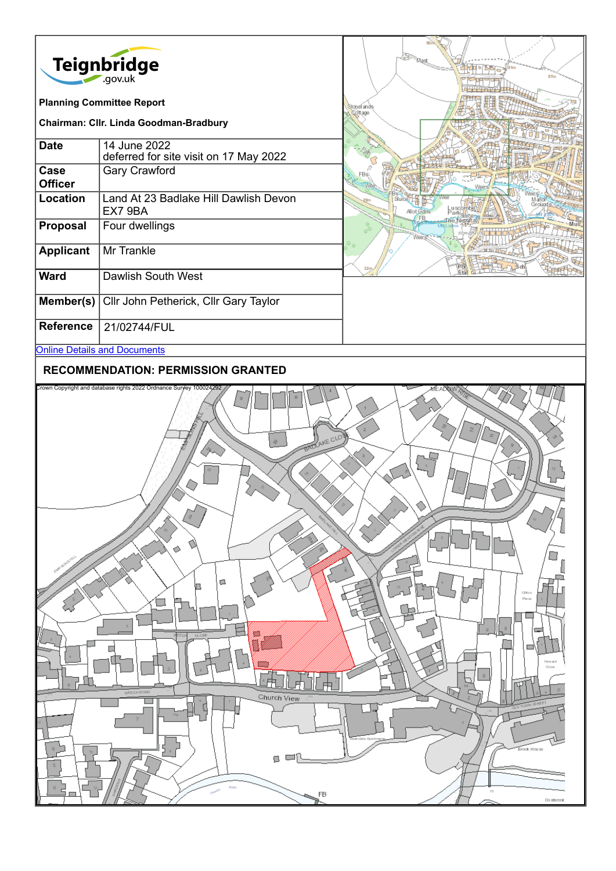

#### **RECOMMENDATION: PERMISSION GRANTED**

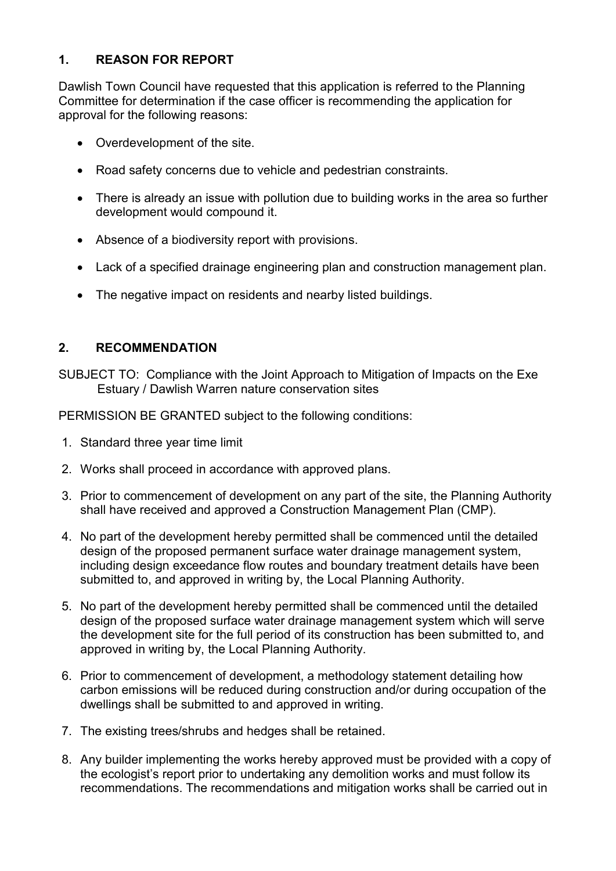# **1. REASON FOR REPORT**

Dawlish Town Council have requested that this application is referred to the Planning Committee for determination if the case officer is recommending the application for approval for the following reasons:

- Overdevelopment of the site.
- Road safety concerns due to vehicle and pedestrian constraints.
- There is already an issue with pollution due to building works in the area so further development would compound it.
- Absence of a biodiversity report with provisions.
- Lack of a specified drainage engineering plan and construction management plan.
- The negative impact on residents and nearby listed buildings.

# **2. RECOMMENDATION**

SUBJECT TO: Compliance with the Joint Approach to Mitigation of Impacts on the Exe Estuary / Dawlish Warren nature conservation sites

PERMISSION BE GRANTED subject to the following conditions:

- 1. Standard three year time limit
- 2. Works shall proceed in accordance with approved plans.
- 3. Prior to commencement of development on any part of the site, the Planning Authority shall have received and approved a Construction Management Plan (CMP).
- 4. No part of the development hereby permitted shall be commenced until the detailed design of the proposed permanent surface water drainage management system, including design exceedance flow routes and boundary treatment details have been submitted to, and approved in writing by, the Local Planning Authority.
- 5. No part of the development hereby permitted shall be commenced until the detailed design of the proposed surface water drainage management system which will serve the development site for the full period of its construction has been submitted to, and approved in writing by, the Local Planning Authority.
- 6. Prior to commencement of development, a methodology statement detailing how carbon emissions will be reduced during construction and/or during occupation of the dwellings shall be submitted to and approved in writing.
- 7. The existing trees/shrubs and hedges shall be retained.
- 8. Any builder implementing the works hereby approved must be provided with a copy of the ecologist's report prior to undertaking any demolition works and must follow its recommendations. The recommendations and mitigation works shall be carried out in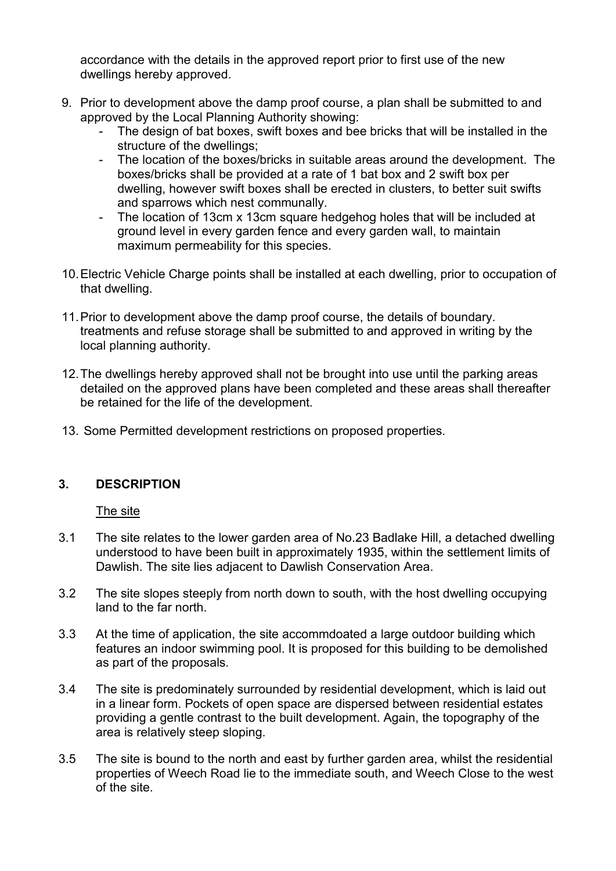accordance with the details in the approved report prior to first use of the new dwellings hereby approved.

- 9. Prior to development above the damp proof course, a plan shall be submitted to and approved by the Local Planning Authority showing:
	- The design of bat boxes, swift boxes and bee bricks that will be installed in the structure of the dwellings;
	- The location of the boxes/bricks in suitable areas around the development. The boxes/bricks shall be provided at a rate of 1 bat box and 2 swift box per dwelling, however swift boxes shall be erected in clusters, to better suit swifts and sparrows which nest communally.
	- The location of 13cm x 13cm square hedgehog holes that will be included at ground level in every garden fence and every garden wall, to maintain maximum permeability for this species.
- 10.Electric Vehicle Charge points shall be installed at each dwelling, prior to occupation of that dwelling.
- 11.Prior to development above the damp proof course, the details of boundary. treatments and refuse storage shall be submitted to and approved in writing by the local planning authority.
- 12.The dwellings hereby approved shall not be brought into use until the parking areas detailed on the approved plans have been completed and these areas shall thereafter be retained for the life of the development.
- 13. Some Permitted development restrictions on proposed properties.

# **3. DESCRIPTION**

The site

- 3.1 The site relates to the lower garden area of No.23 Badlake Hill, a detached dwelling understood to have been built in approximately 1935, within the settlement limits of Dawlish. The site lies adjacent to Dawlish Conservation Area.
- 3.2 The site slopes steeply from north down to south, with the host dwelling occupying land to the far north.
- 3.3 At the time of application, the site accommdoated a large outdoor building which features an indoor swimming pool. It is proposed for this building to be demolished as part of the proposals.
- 3.4 The site is predominately surrounded by residential development, which is laid out in a linear form. Pockets of open space are dispersed between residential estates providing a gentle contrast to the built development. Again, the topography of the area is relatively steep sloping.
- 3.5 The site is bound to the north and east by further garden area, whilst the residential properties of Weech Road lie to the immediate south, and Weech Close to the west of the site.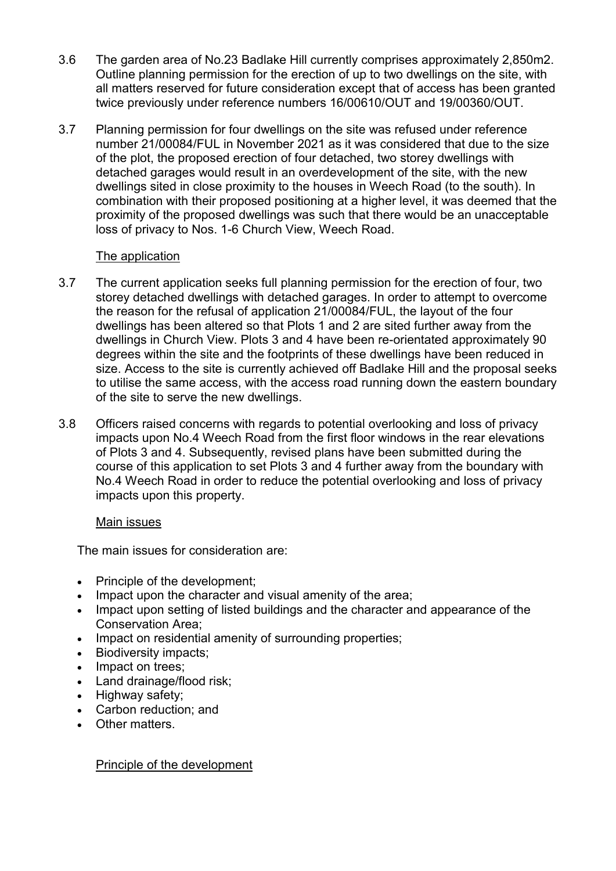- 3.6 The garden area of No.23 Badlake Hill currently comprises approximately 2,850m2. Outline planning permission for the erection of up to two dwellings on the site, with all matters reserved for future consideration except that of access has been granted twice previously under reference numbers 16/00610/OUT and 19/00360/OUT.
- 3.7 Planning permission for four dwellings on the site was refused under reference number 21/00084/FUL in November 2021 as it was considered that due to the size of the plot, the proposed erection of four detached, two storey dwellings with detached garages would result in an overdevelopment of the site, with the new dwellings sited in close proximity to the houses in Weech Road (to the south). In combination with their proposed positioning at a higher level, it was deemed that the proximity of the proposed dwellings was such that there would be an unacceptable loss of privacy to Nos. 1-6 Church View, Weech Road.

#### The application

- 3.7 The current application seeks full planning permission for the erection of four, two storey detached dwellings with detached garages. In order to attempt to overcome the reason for the refusal of application 21/00084/FUL, the layout of the four dwellings has been altered so that Plots 1 and 2 are sited further away from the dwellings in Church View. Plots 3 and 4 have been re-orientated approximately 90 degrees within the site and the footprints of these dwellings have been reduced in size. Access to the site is currently achieved off Badlake Hill and the proposal seeks to utilise the same access, with the access road running down the eastern boundary of the site to serve the new dwellings.
- 3.8 Officers raised concerns with regards to potential overlooking and loss of privacy impacts upon No.4 Weech Road from the first floor windows in the rear elevations of Plots 3 and 4. Subsequently, revised plans have been submitted during the course of this application to set Plots 3 and 4 further away from the boundary with No.4 Weech Road in order to reduce the potential overlooking and loss of privacy impacts upon this property.

# Main issues

The main issues for consideration are:

- Principle of the development;
- Impact upon the character and visual amenity of the area:
- Impact upon setting of listed buildings and the character and appearance of the Conservation Area;
- Impact on residential amenity of surrounding properties;
- Biodiversity impacts;
- Impact on trees:
- Land drainage/flood risk;
- Highway safety;
- Carbon reduction; and
- Other matters.

Principle of the development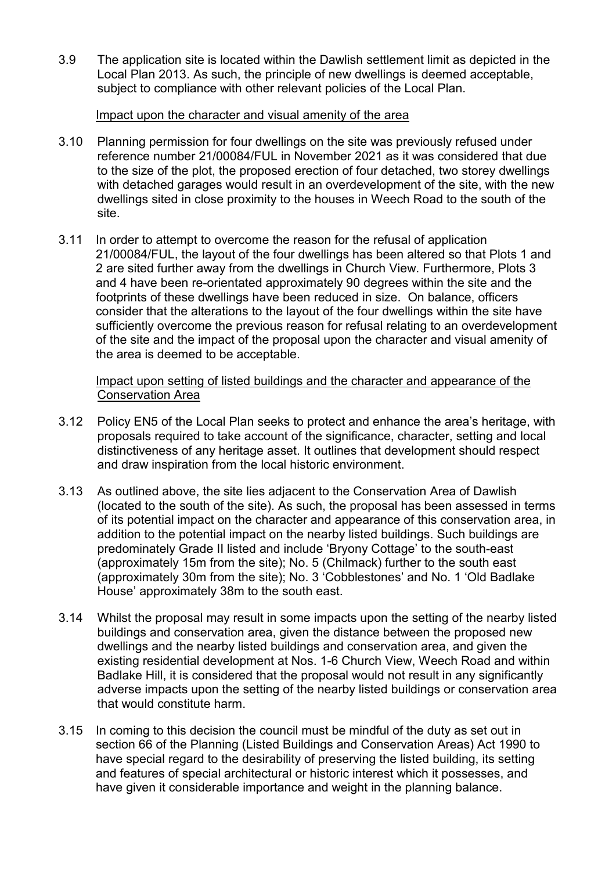3.9 The application site is located within the Dawlish settlement limit as depicted in the Local Plan 2013. As such, the principle of new dwellings is deemed acceptable, subject to compliance with other relevant policies of the Local Plan.

#### Impact upon the character and visual amenity of the area

- 3.10 Planning permission for four dwellings on the site was previously refused under reference number 21/00084/FUL in November 2021 as it was considered that due to the size of the plot, the proposed erection of four detached, two storey dwellings with detached garages would result in an overdevelopment of the site, with the new dwellings sited in close proximity to the houses in Weech Road to the south of the site.
- 3.11 In order to attempt to overcome the reason for the refusal of application 21/00084/FUL, the layout of the four dwellings has been altered so that Plots 1 and 2 are sited further away from the dwellings in Church View. Furthermore, Plots 3 and 4 have been re-orientated approximately 90 degrees within the site and the footprints of these dwellings have been reduced in size. On balance, officers consider that the alterations to the layout of the four dwellings within the site have sufficiently overcome the previous reason for refusal relating to an overdevelopment of the site and the impact of the proposal upon the character and visual amenity of the area is deemed to be acceptable.

Impact upon setting of listed buildings and the character and appearance of the Conservation Area

- 3.12 Policy EN5 of the Local Plan seeks to protect and enhance the area's heritage, with proposals required to take account of the significance, character, setting and local distinctiveness of any heritage asset. It outlines that development should respect and draw inspiration from the local historic environment.
- 3.13 As outlined above, the site lies adjacent to the Conservation Area of Dawlish (located to the south of the site). As such, the proposal has been assessed in terms of its potential impact on the character and appearance of this conservation area, in addition to the potential impact on the nearby listed buildings. Such buildings are predominately Grade II listed and include 'Bryony Cottage' to the south-east (approximately 15m from the site); No. 5 (Chilmack) further to the south east (approximately 30m from the site); No. 3 'Cobblestones' and No. 1 'Old Badlake House' approximately 38m to the south east.
- 3.14 Whilst the proposal may result in some impacts upon the setting of the nearby listed buildings and conservation area, given the distance between the proposed new dwellings and the nearby listed buildings and conservation area, and given the existing residential development at Nos. 1-6 Church View, Weech Road and within Badlake Hill, it is considered that the proposal would not result in any significantly adverse impacts upon the setting of the nearby listed buildings or conservation area that would constitute harm.
- 3.15 In coming to this decision the council must be mindful of the duty as set out in section 66 of the Planning (Listed Buildings and Conservation Areas) Act 1990 to have special regard to the desirability of preserving the listed building, its setting and features of special architectural or historic interest which it possesses, and have given it considerable importance and weight in the planning balance.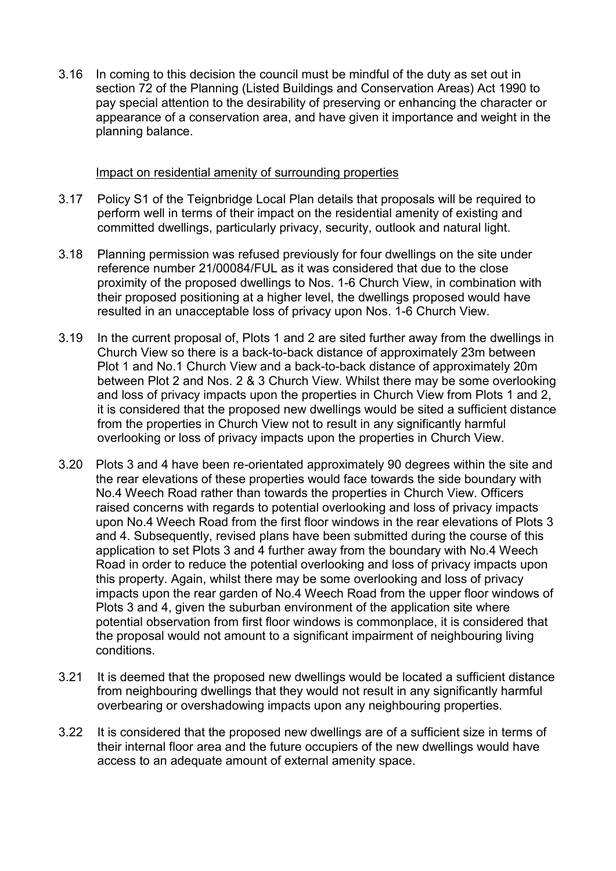3.16 In coming to this decision the council must be mindful of the duty as set out in section 72 of the Planning (Listed Buildings and Conservation Areas) Act 1990 to pay special attention to the desirability of preserving or enhancing the character or appearance of a conservation area, and have given it importance and weight in the planning balance.

#### Impact on residential amenity of surrounding properties

- 3.17 Policy S1 of the Teignbridge Local Plan details that proposals will be required to perform well in terms of their impact on the residential amenity of existing and committed dwellings, particularly privacy, security, outlook and natural light.
- 3.18 Planning permission was refused previously for four dwellings on the site under reference number 21/00084/FUL as it was considered that due to the close proximity of the proposed dwellings to Nos. 1-6 Church View, in combination with their proposed positioning at a higher level, the dwellings proposed would have resulted in an unacceptable loss of privacy upon Nos. 1-6 Church View.
- 3.19 In the current proposal of, Plots 1 and 2 are sited further away from the dwellings in Church View so there is a back-to-back distance of approximately 23m between Plot 1 and No.1 Church View and a back-to-back distance of approximately 20m between Plot 2 and Nos. 2 & 3 Church View. Whilst there may be some overlooking and loss of privacy impacts upon the properties in Church View from Plots 1 and 2, it is considered that the proposed new dwellings would be sited a sufficient distance from the properties in Church View not to result in any significantly harmful overlooking or loss of privacy impacts upon the properties in Church View.
- 3.20 Plots 3 and 4 have been re-orientated approximately 90 degrees within the site and the rear elevations of these properties would face towards the side boundary with No.4 Weech Road rather than towards the properties in Church View. Officers raised concerns with regards to potential overlooking and loss of privacy impacts upon No.4 Weech Road from the first floor windows in the rear elevations of Plots 3 and 4. Subsequently, revised plans have been submitted during the course of this application to set Plots 3 and 4 further away from the boundary with No.4 Weech Road in order to reduce the potential overlooking and loss of privacy impacts upon this property. Again, whilst there may be some overlooking and loss of privacy impacts upon the rear garden of No.4 Weech Road from the upper floor windows of Plots 3 and 4, given the suburban environment of the application site where potential observation from first floor windows is commonplace, it is considered that the proposal would not amount to a significant impairment of neighbouring living conditions.
- 3.21 It is deemed that the proposed new dwellings would be located a sufficient distance from neighbouring dwellings that they would not result in any significantly harmful overbearing or overshadowing impacts upon any neighbouring properties.
- 3.22 It is considered that the proposed new dwellings are of a sufficient size in terms of their internal floor area and the future occupiers of the new dwellings would have access to an adequate amount of external amenity space.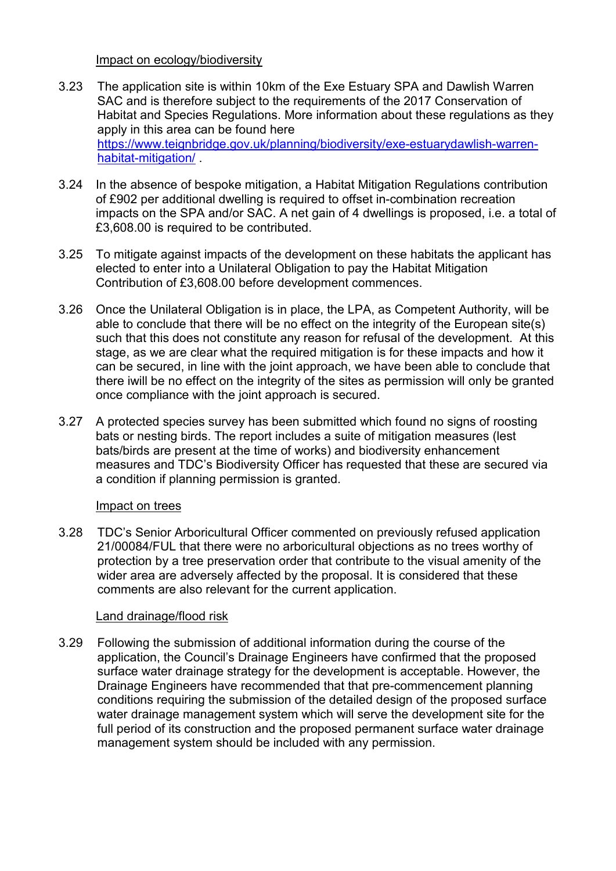Impact on ecology/biodiversity

- 3.23 The application site is within 10km of the Exe Estuary SPA and Dawlish Warren SAC and is therefore subject to the requirements of the 2017 Conservation of Habitat and Species Regulations. More information about these regulations as they apply in this area can be found here [https://www.teignbridge.gov.uk/planning/biodiversity/exe-estuarydawlish-warren](https://www.teignbridge.gov.uk/planning/biodiversity/exe-estuarydawlish-warren-habitat-mitigation/)[habitat-mitigation/](https://www.teignbridge.gov.uk/planning/biodiversity/exe-estuarydawlish-warren-habitat-mitigation/) .
- 3.24 In the absence of bespoke mitigation, a Habitat Mitigation Regulations contribution of £902 per additional dwelling is required to offset in-combination recreation impacts on the SPA and/or SAC. A net gain of 4 dwellings is proposed, i.e. a total of £3,608.00 is required to be contributed.
- 3.25 To mitigate against impacts of the development on these habitats the applicant has elected to enter into a Unilateral Obligation to pay the Habitat Mitigation Contribution of £3,608.00 before development commences.
- 3.26 Once the Unilateral Obligation is in place, the LPA, as Competent Authority, will be able to conclude that there will be no effect on the integrity of the European site(s) such that this does not constitute any reason for refusal of the development. At this stage, as we are clear what the required mitigation is for these impacts and how it can be secured, in line with the joint approach, we have been able to conclude that there iwill be no effect on the integrity of the sites as permission will only be granted once compliance with the joint approach is secured.
- 3.27 A protected species survey has been submitted which found no signs of roosting bats or nesting birds. The report includes a suite of mitigation measures (lest bats/birds are present at the time of works) and biodiversity enhancement measures and TDC's Biodiversity Officer has requested that these are secured via a condition if planning permission is granted.

# Impact on trees

3.28 TDC's Senior Arboricultural Officer commented on previously refused application 21/00084/FUL that there were no arboricultural objections as no trees worthy of protection by a tree preservation order that contribute to the visual amenity of the wider area are adversely affected by the proposal. It is considered that these comments are also relevant for the current application.

#### Land drainage/flood risk

3.29 Following the submission of additional information during the course of the application, the Council's Drainage Engineers have confirmed that the proposed surface water drainage strategy for the development is acceptable. However, the Drainage Engineers have recommended that that pre-commencement planning conditions requiring the submission of the detailed design of the proposed surface water drainage management system which will serve the development site for the full period of its construction and the proposed permanent surface water drainage management system should be included with any permission.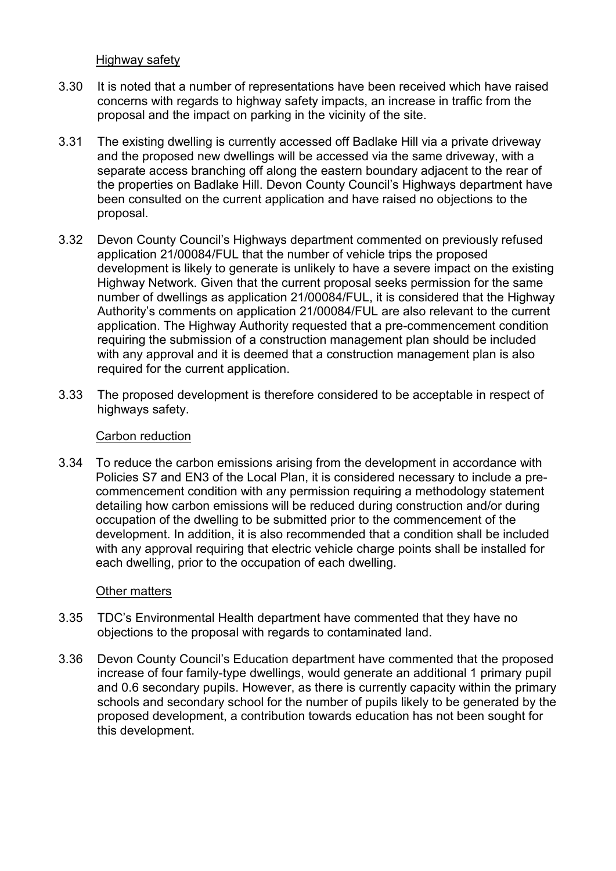Highway safety

- 3.30 It is noted that a number of representations have been received which have raised concerns with regards to highway safety impacts, an increase in traffic from the proposal and the impact on parking in the vicinity of the site.
- 3.31 The existing dwelling is currently accessed off Badlake Hill via a private driveway and the proposed new dwellings will be accessed via the same driveway, with a separate access branching off along the eastern boundary adjacent to the rear of the properties on Badlake Hill. Devon County Council's Highways department have been consulted on the current application and have raised no objections to the proposal.
- 3.32 Devon County Council's Highways department commented on previously refused application 21/00084/FUL that the number of vehicle trips the proposed development is likely to generate is unlikely to have a severe impact on the existing Highway Network. Given that the current proposal seeks permission for the same number of dwellings as application 21/00084/FUL, it is considered that the Highway Authority's comments on application 21/00084/FUL are also relevant to the current application. The Highway Authority requested that a pre-commencement condition requiring the submission of a construction management plan should be included with any approval and it is deemed that a construction management plan is also required for the current application.
- 3.33 The proposed development is therefore considered to be acceptable in respect of highways safety.

#### Carbon reduction

3.34 To reduce the carbon emissions arising from the development in accordance with Policies S7 and EN3 of the Local Plan, it is considered necessary to include a precommencement condition with any permission requiring a methodology statement detailing how carbon emissions will be reduced during construction and/or during occupation of the dwelling to be submitted prior to the commencement of the development. In addition, it is also recommended that a condition shall be included with any approval requiring that electric vehicle charge points shall be installed for each dwelling, prior to the occupation of each dwelling.

#### Other matters

- 3.35 TDC's Environmental Health department have commented that they have no objections to the proposal with regards to contaminated land.
- 3.36 Devon County Council's Education department have commented that the proposed increase of four family-type dwellings, would generate an additional 1 primary pupil and 0.6 secondary pupils. However, as there is currently capacity within the primary schools and secondary school for the number of pupils likely to be generated by the proposed development, a contribution towards education has not been sought for this development.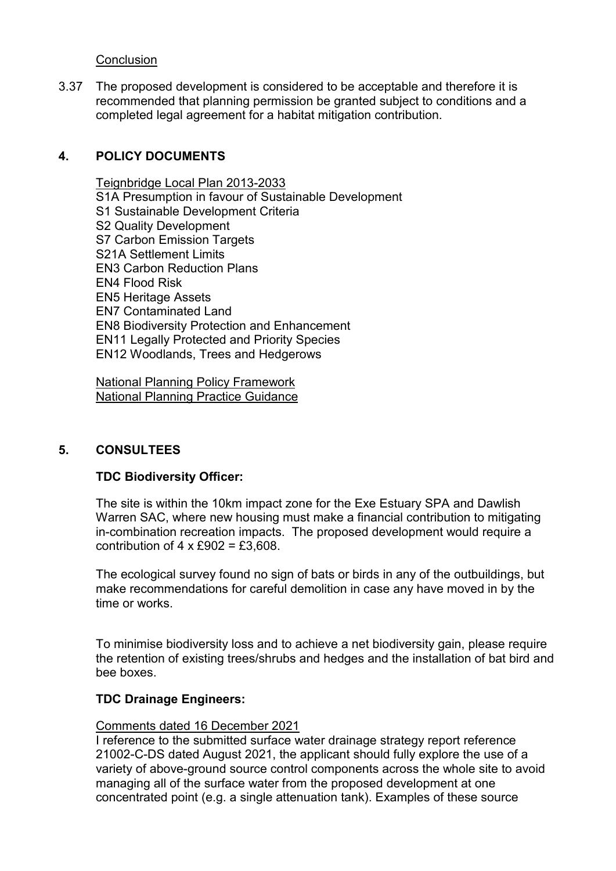**Conclusion** 

3.37 The proposed development is considered to be acceptable and therefore it is recommended that planning permission be granted subject to conditions and a completed legal agreement for a habitat mitigation contribution.

### **4. POLICY DOCUMENTS**

Teignbridge Local Plan 2013-2033 S1A Presumption in favour of Sustainable Development S1 Sustainable Development Criteria S2 Quality Development S7 Carbon Emission Targets S21A Settlement Limits EN3 Carbon Reduction Plans EN4 Flood Risk EN5 Heritage Assets EN7 Contaminated Land EN8 Biodiversity Protection and Enhancement EN11 Legally Protected and Priority Species EN12 Woodlands, Trees and Hedgerows

National Planning Policy Framework National Planning Practice Guidance

#### **5. CONSULTEES**

#### **TDC Biodiversity Officer:**

The site is within the 10km impact zone for the Exe Estuary SPA and Dawlish Warren SAC, where new housing must make a financial contribution to mitigating in-combination recreation impacts. The proposed development would require a contribution of  $4 \times £902 = £3,608$ .

The ecological survey found no sign of bats or birds in any of the outbuildings, but make recommendations for careful demolition in case any have moved in by the time or works.

To minimise biodiversity loss and to achieve a net biodiversity gain, please require the retention of existing trees/shrubs and hedges and the installation of bat bird and bee boxes.

#### **TDC Drainage Engineers:**

#### Comments dated 16 December 2021

I reference to the submitted surface water drainage strategy report reference 21002-C-DS dated August 2021, the applicant should fully explore the use of a variety of above-ground source control components across the whole site to avoid managing all of the surface water from the proposed development at one concentrated point (e.g. a single attenuation tank). Examples of these source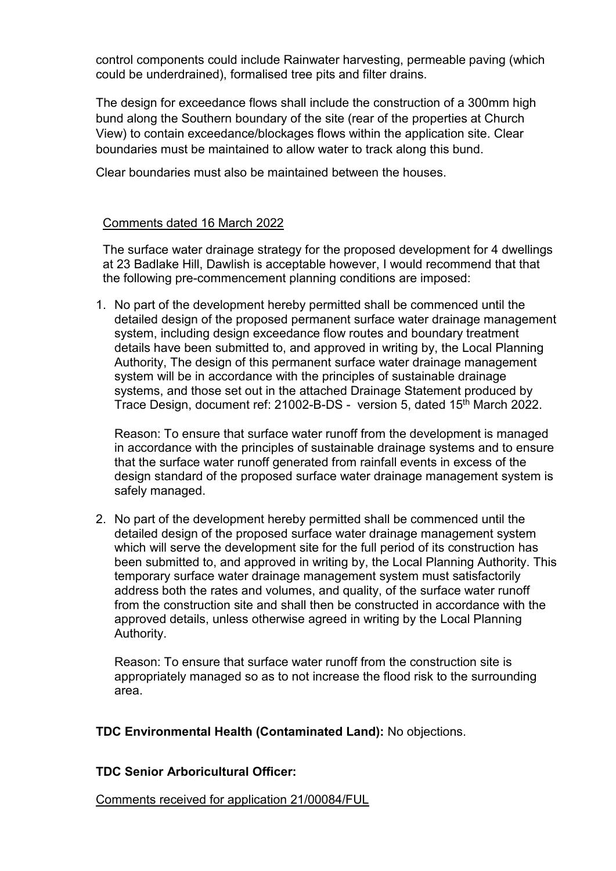control components could include Rainwater harvesting, permeable paving (which could be underdrained), formalised tree pits and filter drains.

The design for exceedance flows shall include the construction of a 300mm high bund along the Southern boundary of the site (rear of the properties at Church View) to contain exceedance/blockages flows within the application site. Clear boundaries must be maintained to allow water to track along this bund.

Clear boundaries must also be maintained between the houses.

### Comments dated 16 March 2022

The surface water drainage strategy for the proposed development for 4 dwellings at 23 Badlake Hill, Dawlish is acceptable however, I would recommend that that the following pre-commencement planning conditions are imposed:

1. No part of the development hereby permitted shall be commenced until the detailed design of the proposed permanent surface water drainage management system, including design exceedance flow routes and boundary treatment details have been submitted to, and approved in writing by, the Local Planning Authority, The design of this permanent surface water drainage management system will be in accordance with the principles of sustainable drainage systems, and those set out in the attached Drainage Statement produced by Trace Design, document ref: 21002-B-DS - version 5, dated 15th March 2022.

Reason: To ensure that surface water runoff from the development is managed in accordance with the principles of sustainable drainage systems and to ensure that the surface water runoff generated from rainfall events in excess of the design standard of the proposed surface water drainage management system is safely managed.

2. No part of the development hereby permitted shall be commenced until the detailed design of the proposed surface water drainage management system which will serve the development site for the full period of its construction has been submitted to, and approved in writing by, the Local Planning Authority. This temporary surface water drainage management system must satisfactorily address both the rates and volumes, and quality, of the surface water runoff from the construction site and shall then be constructed in accordance with the approved details, unless otherwise agreed in writing by the Local Planning Authority.

Reason: To ensure that surface water runoff from the construction site is appropriately managed so as to not increase the flood risk to the surrounding area.

**TDC Environmental Health (Contaminated Land):** No objections.

# **TDC Senior Arboricultural Officer:**

Comments received for application 21/00084/FUL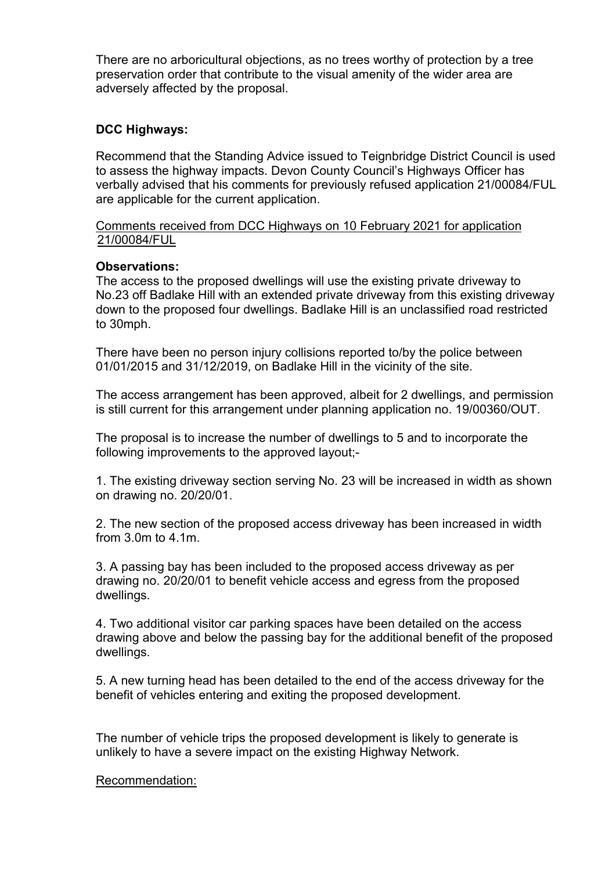There are no arboricultural objections, as no trees worthy of protection by a tree preservation order that contribute to the visual amenity of the wider area are adversely affected by the proposal.

### **DCC Highways:**

Recommend that the Standing Advice issued to Teignbridge District Council is used to assess the highway impacts. Devon County Council's Highways Officer has verbally advised that his comments for previously refused application 21/00084/FUL are applicable for the current application.

#### Comments received from DCC Highways on 10 February 2021 for application 21/00084/FUL

### **Observations:**

The access to the proposed dwellings will use the existing private driveway to No.23 off Badlake Hill with an extended private driveway from this existing driveway down to the proposed four dwellings. Badlake Hill is an unclassified road restricted to 30mph.

There have been no person injury collisions reported to/by the police between 01/01/2015 and 31/12/2019, on Badlake Hill in the vicinity of the site.

The access arrangement has been approved, albeit for 2 dwellings, and permission is still current for this arrangement under planning application no. 19/00360/OUT.

The proposal is to increase the number of dwellings to 5 and to incorporate the following improvements to the approved layout;-

1. The existing driveway section serving No. 23 will be increased in width as shown on drawing no. 20/20/01.

2. The new section of the proposed access driveway has been increased in width from 3.0m to 4.1m.

3. A passing bay has been included to the proposed access driveway as per drawing no. 20/20/01 to benefit vehicle access and egress from the proposed dwellings.

4. Two additional visitor car parking spaces have been detailed on the access drawing above and below the passing bay for the additional benefit of the proposed dwellings.

5. A new turning head has been detailed to the end of the access driveway for the benefit of vehicles entering and exiting the proposed development.

The number of vehicle trips the proposed development is likely to generate is unlikely to have a severe impact on the existing Highway Network.

#### Recommendation: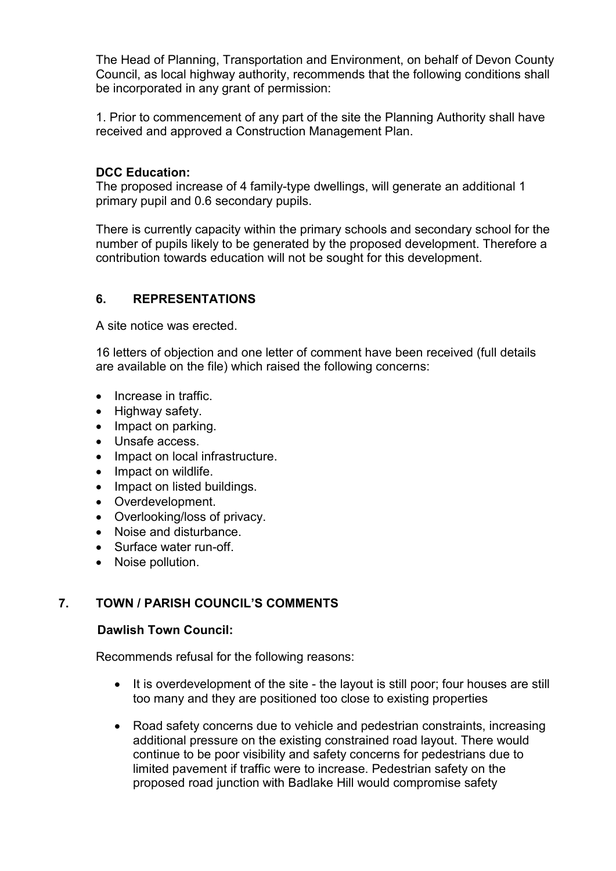The Head of Planning, Transportation and Environment, on behalf of Devon County Council, as local highway authority, recommends that the following conditions shall be incorporated in any grant of permission:

1. Prior to commencement of any part of the site the Planning Authority shall have received and approved a Construction Management Plan.

### **DCC Education:**

The proposed increase of 4 family-type dwellings, will generate an additional 1 primary pupil and 0.6 secondary pupils.

There is currently capacity within the primary schools and secondary school for the number of pupils likely to be generated by the proposed development. Therefore a contribution towards education will not be sought for this development.

### **6. REPRESENTATIONS**

A site notice was erected.

16 letters of objection and one letter of comment have been received (full details are available on the file) which raised the following concerns:

- Increase in traffic.
- Highway safety.
- Impact on parking.
- Unsafe access.
- Impact on local infrastructure.
- Impact on wildlife.
- Impact on listed buildings.
- Overdevelopment.
- Overlooking/loss of privacy.
- Noise and disturbance.
- Surface water run-off.
- Noise pollution.

# **7. TOWN / PARISH COUNCIL'S COMMENTS**

#### **Dawlish Town Council:**

Recommends refusal for the following reasons:

- It is overdevelopment of the site the layout is still poor; four houses are still too many and they are positioned too close to existing properties
- Road safety concerns due to vehicle and pedestrian constraints, increasing additional pressure on the existing constrained road layout. There would continue to be poor visibility and safety concerns for pedestrians due to limited pavement if traffic were to increase. Pedestrian safety on the proposed road junction with Badlake Hill would compromise safety